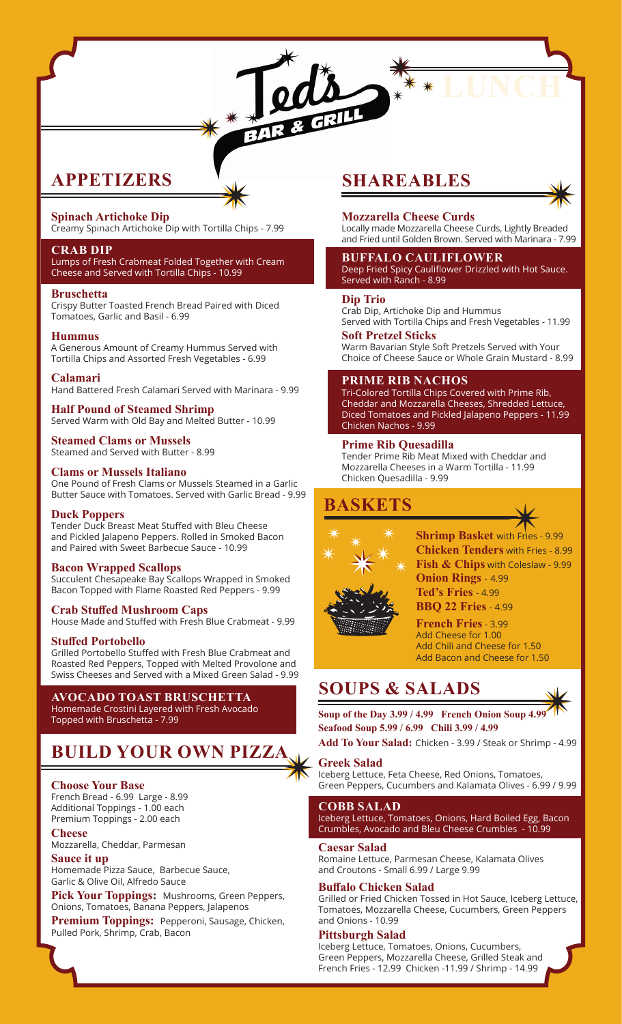# **APPETIZERS**

# **Spinach Artichoke Dip**

Creamy Spinach Artichoke Dip with Tortilla Chips - 7.99

BAR

### **CRAB DIP**

Lumps of Fresh Crabmeat Folded Together with Cream Cheese and Served with Tortilla Chips - 10.99

#### **Bruschetta**

Crispy Butter Toasted French Bread Paired with Diced Tomatoes, Garlic and Basil - 6.99

#### **Hummus**

A Generous Amount of Creamy Hummus Served with Tortilla Chips and Assorted Fresh Vegetables - 6.99

#### **Calamari**

Hand Battered Fresh Calamari Served with Marinara - 9.99

**Half Pound of Steamed Shrimp** Served Warm with Old Bay and Melted Butter - 10.99

# **Steamed Clams or Mussels**

Steamed and Served with Butter - 8.99

# **Clams or Mussels Italiano**

One Pound of Fresh Clams or Mussels Steamed in a Garlic Butter Sauce with Tomatoes. Served with Garlic Bread - 9.99

### **Duck Poppers**

Tender Duck Breast Meat Stuffed with Bleu Cheese and Pickled Jalapeno Peppers. Rolled in Smoked Bacon and Paired with Sweet Barbecue Sauce - 10.99

### **Bacon Wrapped Scallops**

Succulent Chesapeake Bay Scallops Wrapped in Smoked Bacon Topped with Flame Roasted Red Peppers - 9.99

# **Crab Stuffed Mushroom Caps**

House Made and Stuffed with Fresh Blue Crabmeat - 9.99

# **Stuffed Portobello**

Grilled Portobello Stuffed with Fresh Blue Crabmeat and Roasted Red Peppers, Topped with Melted Provolone and Swiss Cheeses and Served with a Mixed Green Salad - 9.99

# **AVOCADO TOAST BRUSCHETTA**

Homemade Crostini Layered with Fresh Avocado Topped with Bruschetta - 7.99

# **BUILD YOUR OWN PIZZA**

### **Choose Your Base**

French Bread - 6.99 Large - 8.99 Additional Toppings - 1.00 each Premium Toppings - 2.00 each

# **Cheese**

Mozzarella, Cheddar, Parmesan

# **Sauce it up**

Homemade Pizza Sauce, Barbecue Sauce, Garlic & Olive Oil, Alfredo Sauce

**Pick Your Toppings:** Mushrooms, Green Peppers, Onions, Tomatoes, Banana Peppers, Jalapenos

**Premium Toppings:** Pepperoni, Sausage, Chicken, Pulled Pork, Shrimp, Crab, Bacon

# **SHAREABLES**



Locally made Mozzarella Cheese Curds, Lightly Breaded and Fried until Golden Brown. Served with Marinara - 7.99

#### **BUFFALO CAULIFLOWER** Deep Fried Spicy Cauliflower Drizzled with Hot Sauce. Served with Ranch - 8.99

#### **Dip Trio**

Crab Dip, Artichoke Dip and Hummus Served with Tortilla Chips and Fresh Vegetables - 11.99

**Soft Pretzel Sticks**

Warm Bavarian Style Soft Pretzels Served with Your Choice of Cheese Sauce or Whole Grain Mustard - 8.99

### **PRIME RIB NACHOS**

Tri-Colored Tortilla Chips Covered with Prime Rib, Cheddar and Mozzarella Cheeses, Shredded Lettuce, Diced Tomatoes and Pickled Jalapeno Peppers - 11.99 Chicken Nachos - 9.99

# **Prime Rib Quesadilla**

Tender Prime Rib Meat Mixed with Cheddar and Mozzarella Cheeses in a Warm Tortilla - 11.99 Chicken Quesadilla - 9.99

# **BASKETS**



**Shrimp Basket** with Fries - 9.99 **Chicken Tenders** with Fries - 8.99 **Fish & Chips** with Coleslaw - 9.99 **Onion Rings** - 4.99 **Ted's Fries** - 4.99 **BBQ 22 Fries** - 4.99

**French Fries**- 3.99 Add Cheese for 1.00 Add Chili and Cheese for 1.50 Add Bacon and Cheese for 1.50

# **SOUPS & SALADS**

**Soup of the Day 3.99 / 4.99 French Onion Soup 4.99 Seafood Soup 5.99 / 6.99 Chili 3.99 / 4.99**

**Add To Your Salad:** Chicken - 3.99 / Steak or Shrimp - 4.99

# **Greek Salad**

Iceberg Lettuce, Feta Cheese, Red Onions, Tomatoes, Green Peppers, Cucumbers and Kalamata Olives - 6.99 / 9.99

## **COBB SALAD**

Iceberg Lettuce, Tomatoes, Onions, Hard Boiled Egg, Bacon Crumbles, Avocado and Bleu Cheese Crumbles - 10.99

#### **Caesar Salad**

Romaine Lettuce, Parmesan Cheese, Kalamata Olives and Croutons - Small 6.99 / Large 9.99

### **Buffalo Chicken Salad**

Grilled or Fried Chicken Tossed in Hot Sauce, Iceberg Lettuce, Tomatoes, Mozzarella Cheese, Cucumbers, Green Peppers and Onions - 10.99

#### **Pittsburgh Salad**

Iceberg Lettuce, Tomatoes, Onions, Cucumbers, Green Peppers, Mozzarella Cheese, Grilled Steak and French Fries - 12.99 Chicken -11.99 / Shrimp - 14.99